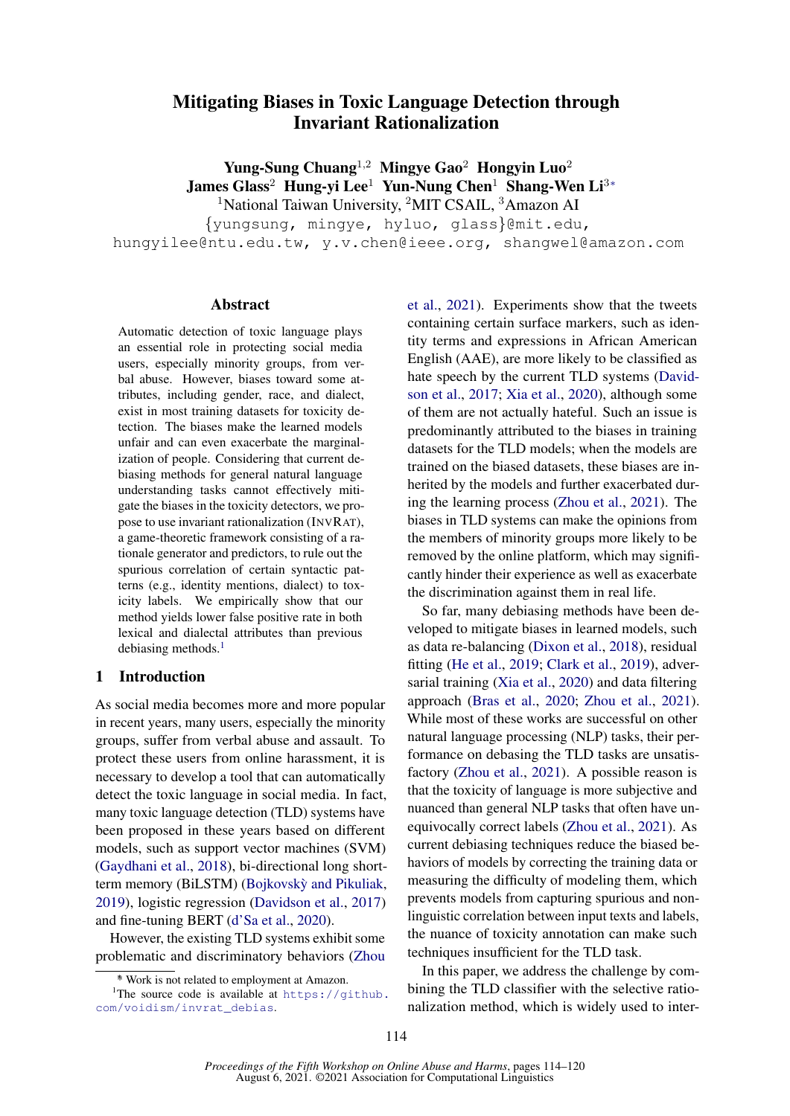# Mitigating Biases in Toxic Language Detection through Invariant Rationalization

Yung-Sung Chuang<sup>1,2</sup> Mingye Gao<sup>2</sup> Hongyin Luo<sup>2</sup> James Glass<sup>2</sup> Hung-yi Lee<sup>1</sup> Yun-Nung Chen<sup>1</sup> Shang-Wen Li<sup>3∗</sup> <sup>1</sup>National Taiwan University, <sup>2</sup>MIT CSAIL, <sup>3</sup>Amazon AI

{yungsung, mingye, hyluo, glass}@mit.edu,

hungyilee@ntu.edu.tw, y.v.chen@ieee.org, shangwel@amazon.com

#### Abstract

Automatic detection of toxic language plays an essential role in protecting social media users, especially minority groups, from verbal abuse. However, biases toward some attributes, including gender, race, and dialect, exist in most training datasets for toxicity detection. The biases make the learned models unfair and can even exacerbate the marginalization of people. Considering that current debiasing methods for general natural language understanding tasks cannot effectively mitigate the biases in the toxicity detectors, we propose to use invariant rationalization (INVRAT), a game-theoretic framework consisting of a rationale generator and predictors, to rule out the spurious correlation of certain syntactic patterns (e.g., identity mentions, dialect) to toxicity labels. We empirically show that our method yields lower false positive rate in both lexical and dialectal attributes than previous debiasing methods.<sup>[1](#page-0-0)</sup>

### 1 Introduction

As social media becomes more and more popular in recent years, many users, especially the minority groups, suffer from verbal abuse and assault. To protect these users from online harassment, it is necessary to develop a tool that can automatically detect the toxic language in social media. In fact, many toxic language detection (TLD) systems have been proposed in these years based on different models, such as support vector machines (SVM) [\(Gaydhani et al.,](#page-5-0) [2018\)](#page-5-0), bi-directional long shortterm memory (BiLSTM) (Bojkovskỳ and Pikuliak, [2019\)](#page-4-0), logistic regression [\(Davidson et al.,](#page-4-1) [2017\)](#page-4-1) and fine-tuning BERT [\(d'Sa et al.,](#page-4-2) [2020\)](#page-4-2).

However, the existing TLD systems exhibit some problematic and discriminatory behaviors [\(Zhou](#page-5-1) [et al.,](#page-5-1) [2021\)](#page-5-1). Experiments show that the tweets containing certain surface markers, such as identity terms and expressions in African American English (AAE), are more likely to be classified as hate speech by the current TLD systems [\(David](#page-4-1)[son et al.,](#page-4-1) [2017;](#page-4-1) [Xia et al.,](#page-5-2) [2020\)](#page-5-2), although some of them are not actually hateful. Such an issue is predominantly attributed to the biases in training datasets for the TLD models; when the models are trained on the biased datasets, these biases are inherited by the models and further exacerbated during the learning process [\(Zhou et al.,](#page-5-1) [2021\)](#page-5-1). The biases in TLD systems can make the opinions from the members of minority groups more likely to be removed by the online platform, which may significantly hinder their experience as well as exacerbate the discrimination against them in real life.

So far, many debiasing methods have been developed to mitigate biases in learned models, such as data re-balancing [\(Dixon et al.,](#page-4-3) [2018\)](#page-4-3), residual fitting [\(He et al.,](#page-5-3) [2019;](#page-5-3) [Clark et al.,](#page-4-4) [2019\)](#page-4-4), adversarial training [\(Xia et al.,](#page-5-2) [2020\)](#page-5-2) and data filtering approach [\(Bras et al.,](#page-4-5) [2020;](#page-4-5) [Zhou et al.,](#page-5-1) [2021\)](#page-5-1). While most of these works are successful on other natural language processing (NLP) tasks, their performance on debasing the TLD tasks are unsatisfactory [\(Zhou et al.,](#page-5-1) [2021\)](#page-5-1). A possible reason is that the toxicity of language is more subjective and nuanced than general NLP tasks that often have unequivocally correct labels [\(Zhou et al.,](#page-5-1) [2021\)](#page-5-1). As current debiasing techniques reduce the biased behaviors of models by correcting the training data or measuring the difficulty of modeling them, which prevents models from capturing spurious and nonlinguistic correlation between input texts and labels, the nuance of toxicity annotation can make such techniques insufficient for the TLD task.

In this paper, we address the challenge by combining the TLD classifier with the selective rationalization method, which is widely used to inter-

<span id="page-0-0"></span><sup>∗</sup> [\\* Work is not related to employment at Amazon.](#page-5-1)

<sup>&</sup>lt;sup>1</sup>[The source code is available at](#page-5-1)  $https://github.$ [com/voidism/invrat\\_debias](#page-5-1).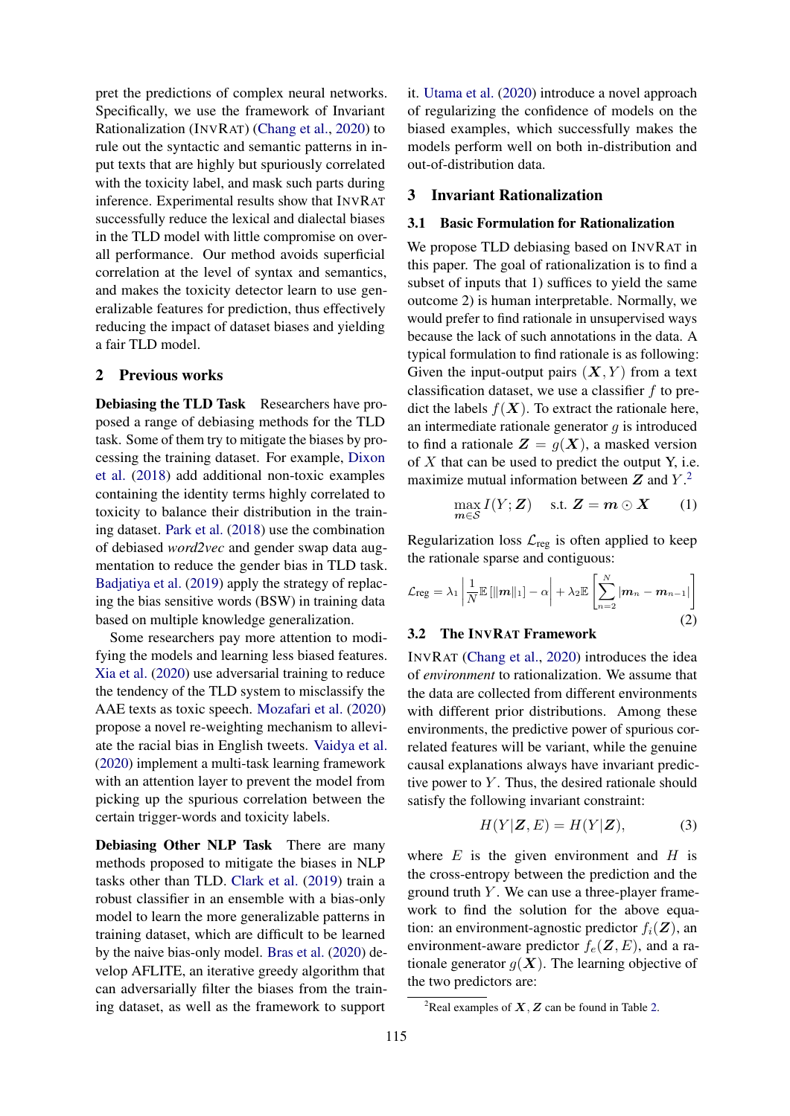pret the predictions of complex neural networks. Specifically, we use the framework of Invariant Rationalization (INVRAT) [\(Chang et al.,](#page-4-6) [2020\)](#page-4-6) to rule out the syntactic and semantic patterns in input texts that are highly but spuriously correlated with the toxicity label, and mask such parts during inference. Experimental results show that INVRAT successfully reduce the lexical and dialectal biases in the TLD model with little compromise on overall performance. Our method avoids superficial correlation at the level of syntax and semantics, and makes the toxicity detector learn to use generalizable features for prediction, thus effectively reducing the impact of dataset biases and yielding a fair TLD model.

# 2 Previous works

Debiasing the TLD Task Researchers have proposed a range of debiasing methods for the TLD task. Some of them try to mitigate the biases by processing the training dataset. For example, [Dixon](#page-4-3) [et al.](#page-4-3) [\(2018\)](#page-4-3) add additional non-toxic examples containing the identity terms highly correlated to toxicity to balance their distribution in the training dataset. [Park et al.](#page-5-4) [\(2018\)](#page-5-4) use the combination of debiased *word2vec* and gender swap data augmentation to reduce the gender bias in TLD task. [Badjatiya et al.](#page-4-7) [\(2019\)](#page-4-7) apply the strategy of replacing the bias sensitive words (BSW) in training data based on multiple knowledge generalization.

Some researchers pay more attention to modifying the models and learning less biased features. [Xia et al.](#page-5-2) [\(2020\)](#page-5-2) use adversarial training to reduce the tendency of the TLD system to misclassify the AAE texts as toxic speech. [Mozafari et al.](#page-5-5) [\(2020\)](#page-5-5) propose a novel re-weighting mechanism to alleviate the racial bias in English tweets. [Vaidya et al.](#page-5-6) [\(2020\)](#page-5-6) implement a multi-task learning framework with an attention layer to prevent the model from picking up the spurious correlation between the certain trigger-words and toxicity labels.

Debiasing Other NLP Task There are many methods proposed to mitigate the biases in NLP tasks other than TLD. [Clark et al.](#page-4-4) [\(2019\)](#page-4-4) train a robust classifier in an ensemble with a bias-only model to learn the more generalizable patterns in training dataset, which are difficult to be learned by the naive bias-only model. [Bras et al.](#page-4-5) [\(2020\)](#page-4-5) develop AFLITE, an iterative greedy algorithm that can adversarially filter the biases from the training dataset, as well as the framework to support

it. [Utama et al.](#page-5-7) [\(2020\)](#page-5-7) introduce a novel approach of regularizing the confidence of models on the biased examples, which successfully makes the models perform well on both in-distribution and out-of-distribution data.

### 3 Invariant Rationalization

### 3.1 Basic Formulation for Rationalization

We propose TLD debiasing based on INVRAT in this paper. The goal of rationalization is to find a subset of inputs that 1) suffices to yield the same outcome 2) is human interpretable. Normally, we would prefer to find rationale in unsupervised ways because the lack of such annotations in the data. A typical formulation to find rationale is as following: Given the input-output pairs  $(X, Y)$  from a text classification dataset, we use a classifier  $f$  to predict the labels  $f(\mathbf{X})$ . To extract the rationale here, an intermediate rationale generator  $q$  is introduced to find a rationale  $\mathbf{Z} = q(\mathbf{X})$ , a masked version of  $X$  that can be used to predict the output Y, i.e. maximize mutual information between  $Z$  and  $Y$ .<sup>[2](#page-1-0)</sup>

<span id="page-1-1"></span>
$$
\max_{\mathbf{m}\in\mathcal{S}} I(Y;\mathbf{Z}) \quad \text{s.t. } \mathbf{Z} = \mathbf{m} \odot \mathbf{X} \tag{1}
$$

Regularization loss  $\mathcal{L}_{reg}$  is often applied to keep the rationale sparse and contiguous:

$$
\mathcal{L}_{reg} = \lambda_1 \left| \frac{1}{N} \mathbb{E} \left[ ||\mathbf{m}||_1 \right] - \alpha \right| + \lambda_2 \mathbb{E} \left[ \sum_{n=2}^{N} |\mathbf{m}_n - \mathbf{m}_{n-1}| \right]
$$
\n(2)

# 3.2 The INVRAT Framework

INVRAT [\(Chang et al.,](#page-4-6) [2020\)](#page-4-6) introduces the idea of *environment* to rationalization. We assume that the data are collected from different environments with different prior distributions. Among these environments, the predictive power of spurious correlated features will be variant, while the genuine causal explanations always have invariant predictive power to  $Y$ . Thus, the desired rationale should satisfy the following invariant constraint:

$$
H(Y|\mathbf{Z}, E) = H(Y|\mathbf{Z}),\tag{3}
$$

where  $E$  is the given environment and  $H$  is the cross-entropy between the prediction and the ground truth  $Y$ . We can use a three-player framework to find the solution for the above equation: an environment-agnostic predictor  $f_i(\mathbf{Z})$ , an environment-aware predictor  $f_e(\mathbf{Z}, E)$ , and a rationale generator  $g(X)$ . The learning objective of the two predictors are:

<span id="page-1-0"></span><sup>&</sup>lt;sup>2</sup>Real examples of  $X, Z$  can be found in Table [2.](#page-4-8)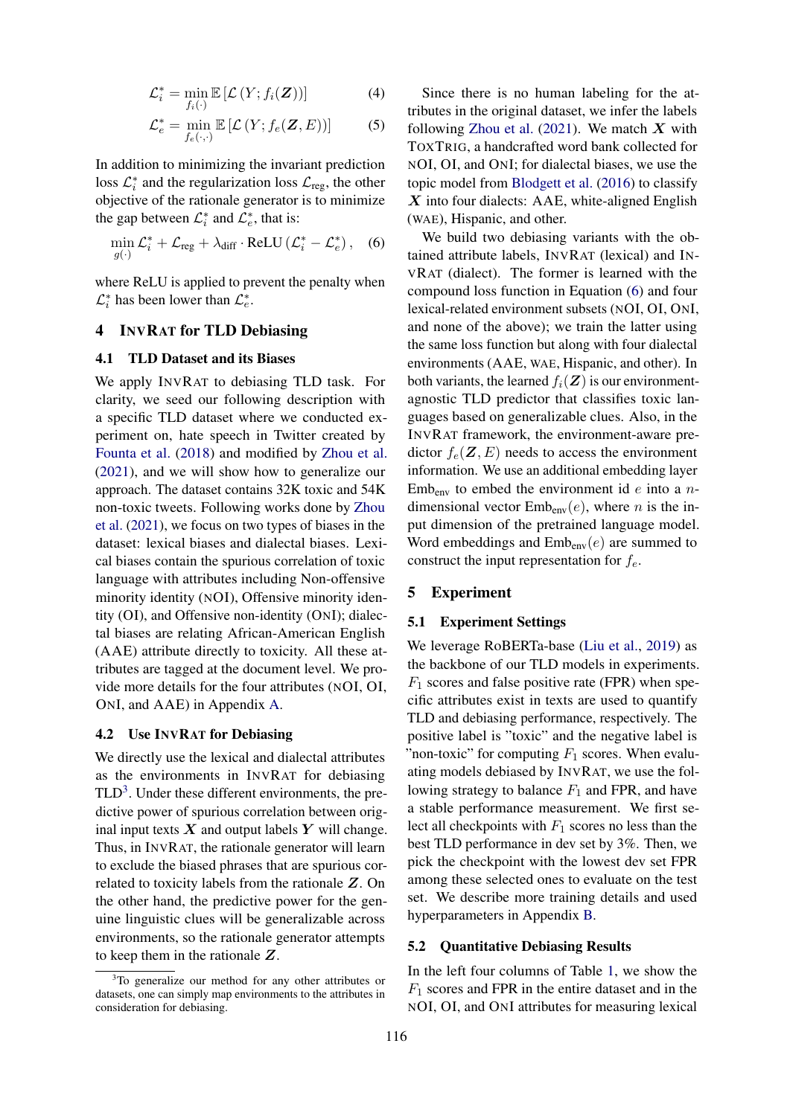$$
\mathcal{L}_i^* = \min_{f_i(\cdot)} \mathbb{E}\left[\mathcal{L}\left(Y; f_i(\boldsymbol{Z})\right)\right] \tag{4}
$$

$$
\mathcal{L}_e^* = \min_{f_e(\cdot,\cdot)} \mathbb{E}\left[\mathcal{L}\left(Y; f_e(\mathbf{Z}, E)\right)\right]
$$
 (5)

In addition to minimizing the invariant prediction loss  $\mathcal{L}_i^*$  and the regularization loss  $\mathcal{L}_{reg}$ , the other objective of the rationale generator is to minimize the gap between  $\mathcal{L}_i^*$  and  $\mathcal{L}_e^*$ , that is:

$$
\min_{g(\cdot)} \mathcal{L}_i^* + \mathcal{L}_{\text{reg}} + \lambda_{\text{diff}} \cdot \text{ReLU} \left( \mathcal{L}_i^* - \mathcal{L}_e^* \right), \quad (6)
$$

where ReLU is applied to prevent the penalty when  $\mathcal{L}_i^*$  has been lower than  $\mathcal{L}_e^*$ .

# 4 INVRAT for TLD Debiasing

### 4.1 TLD Dataset and its Biases

We apply INVRAT to debiasing TLD task. For clarity, we seed our following description with a specific TLD dataset where we conducted experiment on, hate speech in Twitter created by [Founta et al.](#page-5-8) [\(2018\)](#page-5-8) and modified by [Zhou et al.](#page-5-1) [\(2021\)](#page-5-1), and we will show how to generalize our approach. The dataset contains 32K toxic and 54K non-toxic tweets. Following works done by [Zhou](#page-5-1) [et al.](#page-5-1) [\(2021\)](#page-5-1), we focus on two types of biases in the dataset: lexical biases and dialectal biases. Lexical biases contain the spurious correlation of toxic language with attributes including Non-offensive minority identity (NOI), Offensive minority identity (OI), and Offensive non-identity (ONI); dialectal biases are relating African-American English (AAE) attribute directly to toxicity. All these attributes are tagged at the document level. We provide more details for the four attributes (NOI, OI, ONI, and AAE) in Appendix [A.](#page-6-0)

#### 4.2 Use INVRAT for Debiasing

We directly use the lexical and dialectal attributes as the environments in INVRAT for debiasing  $TLD<sup>3</sup>$  $TLD<sup>3</sup>$  $TLD<sup>3</sup>$ . Under these different environments, the predictive power of spurious correlation between original input texts  $X$  and output labels  $Y$  will change. Thus, in INVRAT, the rationale generator will learn to exclude the biased phrases that are spurious correlated to toxicity labels from the rationale Z. On the other hand, the predictive power for the genuine linguistic clues will be generalizable across environments, so the rationale generator attempts to keep them in the rationale Z.

Since there is no human labeling for the attributes in the original dataset, we infer the labels following [Zhou et al.](#page-5-1)  $(2021)$ . We match X with TOXTRIG, a handcrafted word bank collected for NOI, OI, and ONI; for dialectal biases, we use the topic model from [Blodgett et al.](#page-4-9) [\(2016\)](#page-4-9) to classify  $X$  into four dialects: AAE, white-aligned English (WAE), Hispanic, and other.

<span id="page-2-1"></span>We build two debiasing variants with the obtained attribute labels, INVRAT (lexical) and IN-VRAT (dialect). The former is learned with the compound loss function in Equation [\(6\)](#page-2-1) and four lexical-related environment subsets (NOI, OI, ONI, and none of the above); we train the latter using the same loss function but along with four dialectal environments (AAE, WAE, Hispanic, and other). In both variants, the learned  $f_i(\mathbf{Z})$  is our environmentagnostic TLD predictor that classifies toxic languages based on generalizable clues. Also, in the INVRAT framework, the environment-aware predictor  $f_e(\mathbf{Z}, E)$  needs to access the environment information. We use an additional embedding layer  $Emb_{env}$  to embed the environment id *e* into a *n*dimensional vector  $Emb_{env}(e)$ , where *n* is the input dimension of the pretrained language model. Word embeddings and  $Emb_{env}(e)$  are summed to construct the input representation for  $f_e$ .

# 5 Experiment

#### 5.1 Experiment Settings

We leverage RoBERTa-base [\(Liu et al.,](#page-5-9) [2019\)](#page-5-9) as the backbone of our TLD models in experiments.  $F_1$  scores and false positive rate (FPR) when specific attributes exist in texts are used to quantify TLD and debiasing performance, respectively. The positive label is "toxic" and the negative label is "non-toxic" for computing  $F_1$  scores. When evaluating models debiased by INVRAT, we use the following strategy to balance  $F_1$  and FPR, and have a stable performance measurement. We first select all checkpoints with  $F_1$  scores no less than the best TLD performance in dev set by 3%. Then, we pick the checkpoint with the lowest dev set FPR among these selected ones to evaluate on the test set. We describe more training details and used hyperparameters in Appendix [B.](#page-6-1)

#### 5.2 Quantitative Debiasing Results

In the left four columns of Table [1,](#page-3-0) we show the  $F_1$  scores and FPR in the entire dataset and in the NOI, OI, and ONI attributes for measuring lexical

<span id="page-2-0"></span><sup>&</sup>lt;sup>3</sup>To generalize our method for any other attributes or datasets, one can simply map environments to the attributes in consideration for debiasing.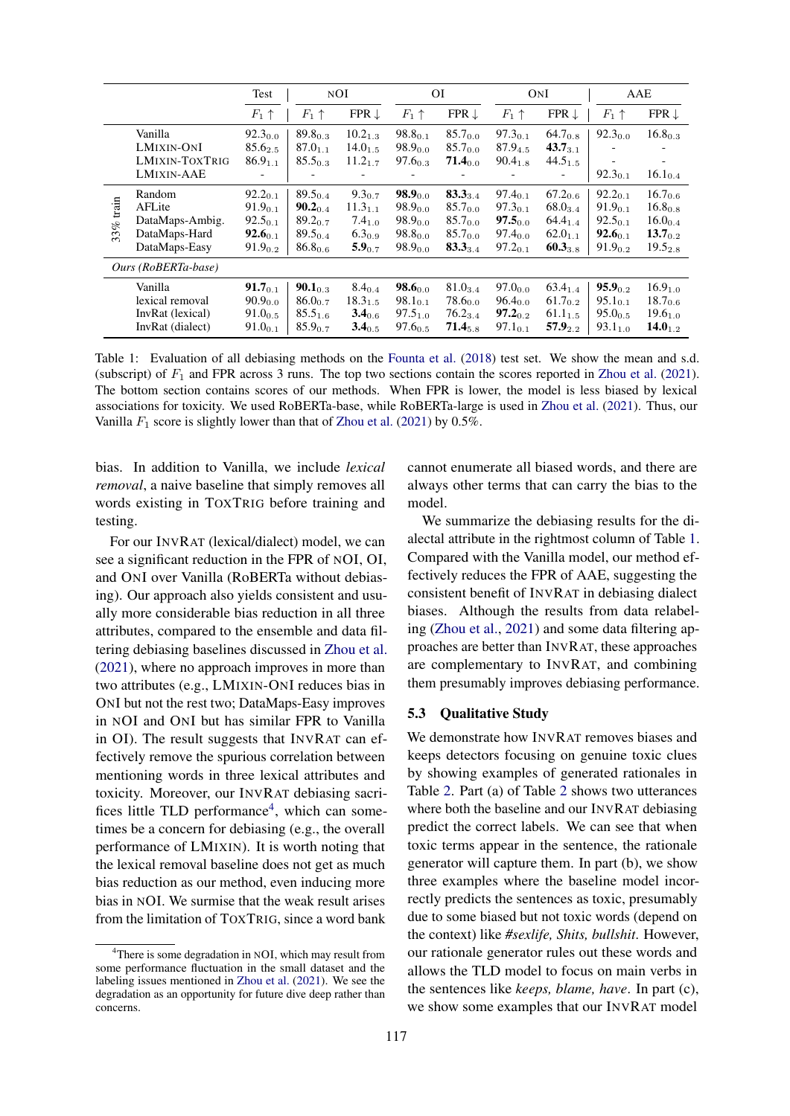<span id="page-3-0"></span>

|                     |                                                                       | Test                                                                         | NOI                                                                          |                                                                                 | ΟI                                                                           |                                                                                     | ONI                                                                          |                                                                              | AAE                                                                           |                                                                             |
|---------------------|-----------------------------------------------------------------------|------------------------------------------------------------------------------|------------------------------------------------------------------------------|---------------------------------------------------------------------------------|------------------------------------------------------------------------------|-------------------------------------------------------------------------------------|------------------------------------------------------------------------------|------------------------------------------------------------------------------|-------------------------------------------------------------------------------|-----------------------------------------------------------------------------|
|                     |                                                                       | $F_1 \uparrow$                                                               | $F_1 \uparrow$                                                               | FPR $\downarrow$                                                                | $F_1 \uparrow$                                                               | FPR $\downarrow$                                                                    | $F_1 \uparrow$                                                               | FPR $\downarrow$                                                             | $F_1 \uparrow$                                                                | FPR $\downarrow$                                                            |
|                     | Vanilla<br>LMIXIN-ONI<br><b>LMIXIN-TOXTRIG</b><br><b>LMIXIN-AAE</b>   | $92.3_{0.0}$<br>85.625<br>86.9 <sub>1.1</sub><br>$\overline{\phantom{a}}$    | $89.8_{0.3}$<br>$87.0_{1.1}$<br>$85.5_{0.3}$                                 | $10.2_{1.3}$<br>$14.0_{1.5}$<br>$11.2_{1.7}$                                    | $98.8_{0.1}$<br>$98.9_{0.0}$<br>$97.6_{0.3}$                                 | $85.7_{0.0}$<br>$85.7_{0.0}$<br>$71.4_{0.0}$                                        | $97.3_{0.1}$<br>87.94.5<br>$90.4_{1.8}$                                      | $64.7_{0.8}$<br>$43.7_{3.1}$<br>$44.5_{1.5}$<br>$\overline{\phantom{a}}$     | $92.3_{0.0}$<br>$\overline{\phantom{a}}$<br>$92.3_{0.1}$                      | $16.8_{0.3}$<br>$16.1_{0.4}$                                                |
| train<br>33%        | Random<br>AFLite<br>DataMaps-Ambig.<br>DataMaps-Hard<br>DataMaps-Easy | $92.2_{0.1}$<br>$91.9_{0.1}$<br>$92.5_{0.1}$<br>$92.6_{0.1}$<br>$91.9_{0.2}$ | $89.5_{0.4}$<br>$90.2_{0.4}$<br>$89.2_{0.7}$<br>$89.5_{0.4}$<br>$86.8_{0.6}$ | $9.3_{0.7}$<br>$11.3_{1.1}$<br>7.4 <sub>1.0</sub><br>$6.3_{0.9}$<br>$5.9_{0.7}$ | $98.9_{0.0}$<br>$98.9_{0.0}$<br>$98.9_{0.0}$<br>$98.8_{0.0}$<br>$98.9_{0.0}$ | $83.3_{3.4}$<br>$85.7_{0.0}$<br>$85.7_{0.0}$<br>85.7 <sub>0.0</sub><br>$83.3_{3.4}$ | $97.4_{0.1}$<br>$97.3_{0.1}$<br>$97.5_{0.0}$<br>$97.4_{0.0}$<br>$97.2_{0.1}$ | $67.2_{0.6}$<br>$68.0_{3.4}$<br>$64.4_{1.4}$<br>$62.0_{1.1}$<br>$60.3_{3.8}$ | $92.2_{0.1}$<br>91.9 <sub>0.1</sub><br>92.501<br>$92.6_{0.1}$<br>$91.9_{0.2}$ | $16.7_{0.6}$<br>$16.8_{0.8}$<br>$16.0_{0.4}$<br>$13.7_{02}$<br>$19.5_{2.8}$ |
| Ours (RoBERTa-base) |                                                                       |                                                                              |                                                                              |                                                                                 |                                                                              |                                                                                     |                                                                              |                                                                              |                                                                               |                                                                             |
|                     | Vanilla<br>lexical removal<br>InvRat (lexical)<br>InvRat (dialect)    | $91.7_{0.1}$<br>$90.9_{0.0}$<br>$91.0_{0.5}$<br>$91.0_{0.1}$                 | $90.1_{0.3}$<br>$86.0_{0.7}$<br>$85.5_{1.6}$<br>$85.9_{0.7}$                 | $8.4_{0.4}$<br>$18.3_{1.5}$<br>$3.4_{0.6}$<br>$3.4_{0.5}$                       | $98.6$ <sub>0.0</sub><br>$98.1_{0.1}$<br>$97.5_{1.0}$<br>$97.6_{0.5}$        | $81.0_{3.4}$<br>$78.6_{0.0}$<br>$76.2_{3.4}$<br>$71.4_{5.8}$                        | 97.0 <sub>0</sub> o<br>$96.4_{0.0}$<br>$97.2_{0.2}$<br>$97.1_{0.1}$          | $63.4_{1.4}$<br>$61.7_{0.2}$<br>$61.1_{1.5}$<br>$57.9_{2.2}$                 | $95.9_{0.2}$<br>$95.1_{0.1}$<br>$95.0_{0.5}$<br>$93.1_{1.0}$                  | $16.9_{1.0}$<br>$18.7_{0.6}$<br>19.6 <sub>1.0</sub><br>$14.0_{1.2}$         |

Table 1: Evaluation of all debiasing methods on the [Founta et al.](#page-5-8) [\(2018\)](#page-5-8) test set. We show the mean and s.d. (subscript) of  $F_1$  and FPR across 3 runs. The top two sections contain the scores reported in [Zhou et al.](#page-5-1) [\(2021\)](#page-5-1). The bottom section contains scores of our methods. When FPR is lower, the model is less biased by lexical associations for toxicity. We used RoBERTa-base, while RoBERTa-large is used in [Zhou et al.](#page-5-1) [\(2021\)](#page-5-1). Thus, our Vanilla  $F_1$  score is slightly lower than that of [Zhou et al.](#page-5-1) [\(2021\)](#page-5-1) by 0.5%.

bias. In addition to Vanilla, we include *lexical removal*, a naive baseline that simply removes all words existing in TOXTRIG before training and testing.

For our INVRAT (lexical/dialect) model, we can see a significant reduction in the FPR of NOI, OI, and ONI over Vanilla (RoBERTa without debiasing). Our approach also yields consistent and usually more considerable bias reduction in all three attributes, compared to the ensemble and data filtering debiasing baselines discussed in [Zhou et al.](#page-5-1) [\(2021\)](#page-5-1), where no approach improves in more than two attributes (e.g., LMIXIN-ONI reduces bias in ONI but not the rest two; DataMaps-Easy improves in NOI and ONI but has similar FPR to Vanilla in OI). The result suggests that INVRAT can effectively remove the spurious correlation between mentioning words in three lexical attributes and toxicity. Moreover, our INVRAT debiasing sacri-fices little TLD performance<sup>[4](#page-3-1)</sup>, which can sometimes be a concern for debiasing (e.g., the overall performance of LMIXIN). It is worth noting that the lexical removal baseline does not get as much bias reduction as our method, even inducing more bias in NOI. We surmise that the weak result arises from the limitation of TOXTRIG, since a word bank

cannot enumerate all biased words, and there are always other terms that can carry the bias to the model.

We summarize the debiasing results for the dialectal attribute in the rightmost column of Table [1.](#page-3-0) Compared with the Vanilla model, our method effectively reduces the FPR of AAE, suggesting the consistent benefit of INVRAT in debiasing dialect biases. Although the results from data relabeling [\(Zhou et al.,](#page-5-1) [2021\)](#page-5-1) and some data filtering approaches are better than INVRAT, these approaches are complementary to INVRAT, and combining them presumably improves debiasing performance.

#### 5.3 Qualitative Study

We demonstrate how INVRAT removes biases and keeps detectors focusing on genuine toxic clues by showing examples of generated rationales in Table [2.](#page-4-8) Part (a) of Table [2](#page-4-8) shows two utterances where both the baseline and our INVRAT debiasing predict the correct labels. We can see that when toxic terms appear in the sentence, the rationale generator will capture them. In part (b), we show three examples where the baseline model incorrectly predicts the sentences as toxic, presumably due to some biased but not toxic words (depend on the context) like *#sexlife, Shits, bullshit*. However, our rationale generator rules out these words and allows the TLD model to focus on main verbs in the sentences like *keeps, blame, have*. In part (c), we show some examples that our INVRAT model

<span id="page-3-1"></span> $4$ There is some degradation in NOI, which may result from some performance fluctuation in the small dataset and the labeling issues mentioned in [Zhou et al.](#page-5-1) [\(2021\)](#page-5-1). We see the degradation as an opportunity for future dive deep rather than concerns.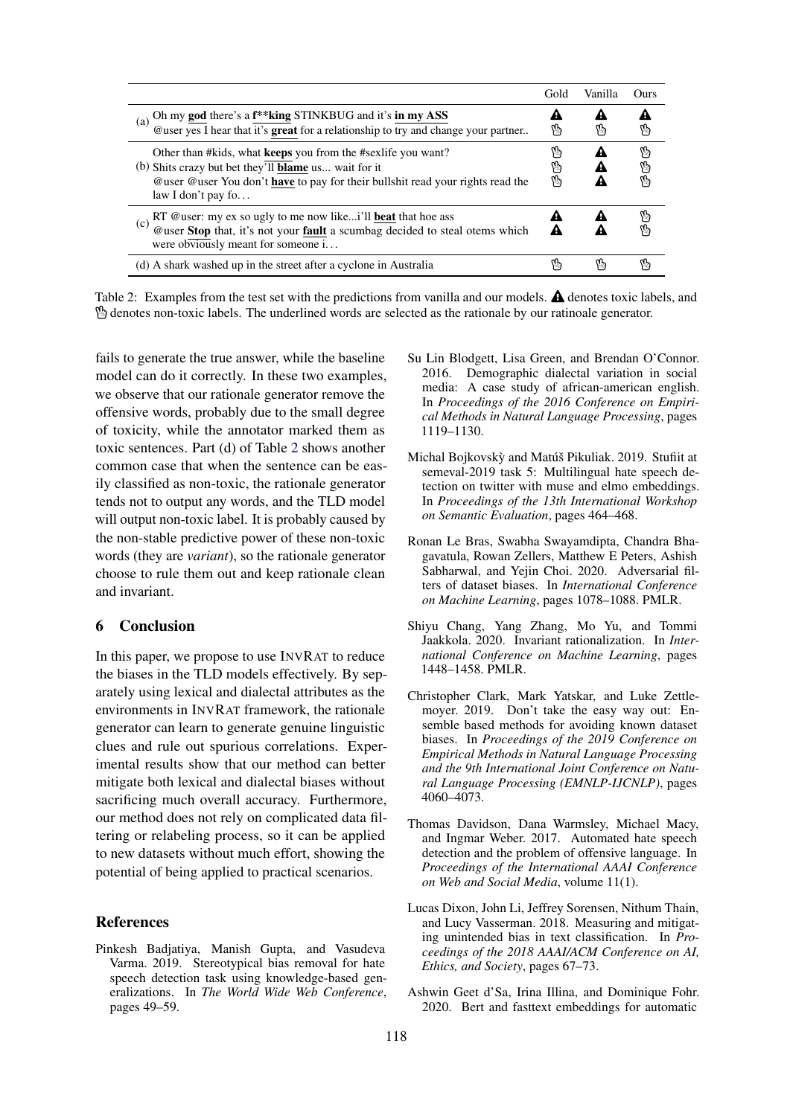<span id="page-4-8"></span>

|                                                                                                                                                                                                                                    | Gold        | Vanılla | Ours         |
|------------------------------------------------------------------------------------------------------------------------------------------------------------------------------------------------------------------------------------|-------------|---------|--------------|
| Oh my <b>god</b> there's a $f^*$ <b>king</b> STINKBUG and it's <b>in my ASS</b> @user yes I hear that it's <b>great</b> for a relationship to try and change your partner<br>(a)                                                   | 4A<br>内     | A<br>۱ŋ | ١ŋ           |
| Other than #kids, what keeps you from the #sexife you want?<br>(b) Shits crazy but bet they'll <b>blame</b> us wait for it<br>@user @user You don't have to pay for their bullshit read your rights read the<br>law I don't pay fo | ሌ<br>內<br>₩ |         | 内<br>V<br>Ø, |
| RT @user: my ex so ugly to me now likei'll <b>beat</b> that hoe ass<br>@user <b>Stop</b> that, it's not your <b>fault</b> a scumbag decided to steal otems which<br>(c)<br>were obviously meant for someone i                      | A           |         | y,           |
| (d) A shark washed up in the street after a cyclone in Australia                                                                                                                                                                   | ሌ           | ١ŋ      |              |

Table 2: Examples from the test set with the predictions from vanilla and our models.  $\triangle$  denotes toxic labels, and ° denotes non-toxic labels. The underlined words are selected as the rationale by our ratinoale generator.

fails to generate the true answer, while the baseline model can do it correctly. In these two examples, we observe that our rationale generator remove the offensive words, probably due to the small degree of toxicity, while the annotator marked them as toxic sentences. Part (d) of Table [2](#page-4-8) shows another common case that when the sentence can be easily classified as non-toxic, the rationale generator tends not to output any words, and the TLD model will output non-toxic label. It is probably caused by the non-stable predictive power of these non-toxic words (they are *variant*), so the rationale generator choose to rule them out and keep rationale clean and invariant.

# 6 Conclusion

In this paper, we propose to use INVRAT to reduce the biases in the TLD models effectively. By separately using lexical and dialectal attributes as the environments in INVRAT framework, the rationale generator can learn to generate genuine linguistic clues and rule out spurious correlations. Experimental results show that our method can better mitigate both lexical and dialectal biases without sacrificing much overall accuracy. Furthermore, our method does not rely on complicated data filtering or relabeling process, so it can be applied to new datasets without much effort, showing the potential of being applied to practical scenarios.

# **References**

<span id="page-4-7"></span>Pinkesh Badjatiya, Manish Gupta, and Vasudeva Varma. 2019. Stereotypical bias removal for hate speech detection task using knowledge-based generalizations. In *The World Wide Web Conference*, pages 49–59.

- <span id="page-4-9"></span>Su Lin Blodgett, Lisa Green, and Brendan O'Connor. 2016. Demographic dialectal variation in social media: A case study of african-american english. In *Proceedings of the 2016 Conference on Empirical Methods in Natural Language Processing*, pages 1119–1130.
- <span id="page-4-0"></span>Michal Bojkovskỳ and Matúš Pikuliak. 2019. Stufiit at semeval-2019 task 5: Multilingual hate speech detection on twitter with muse and elmo embeddings. In *Proceedings of the 13th International Workshop on Semantic Evaluation*, pages 464–468.
- <span id="page-4-5"></span>Ronan Le Bras, Swabha Swayamdipta, Chandra Bhagavatula, Rowan Zellers, Matthew E Peters, Ashish Sabharwal, and Yejin Choi. 2020. Adversarial filters of dataset biases. In *International Conference on Machine Learning*, pages 1078–1088. PMLR.
- <span id="page-4-6"></span>Shiyu Chang, Yang Zhang, Mo Yu, and Tommi Jaakkola. 2020. Invariant rationalization. In *International Conference on Machine Learning*, pages 1448–1458. PMLR.
- <span id="page-4-4"></span>Christopher Clark, Mark Yatskar, and Luke Zettlemoyer. 2019. Don't take the easy way out: Ensemble based methods for avoiding known dataset biases. In *Proceedings of the 2019 Conference on Empirical Methods in Natural Language Processing and the 9th International Joint Conference on Natural Language Processing (EMNLP-IJCNLP)*, pages 4060–4073.
- <span id="page-4-1"></span>Thomas Davidson, Dana Warmsley, Michael Macy, and Ingmar Weber. 2017. Automated hate speech detection and the problem of offensive language. In *Proceedings of the International AAAI Conference on Web and Social Media*, volume 11(1).
- <span id="page-4-3"></span>Lucas Dixon, John Li, Jeffrey Sorensen, Nithum Thain, and Lucy Vasserman. 2018. Measuring and mitigating unintended bias in text classification. In *Proceedings of the 2018 AAAI/ACM Conference on AI, Ethics, and Society*, pages 67–73.
- <span id="page-4-2"></span>Ashwin Geet d'Sa, Irina Illina, and Dominique Fohr. 2020. Bert and fasttext embeddings for automatic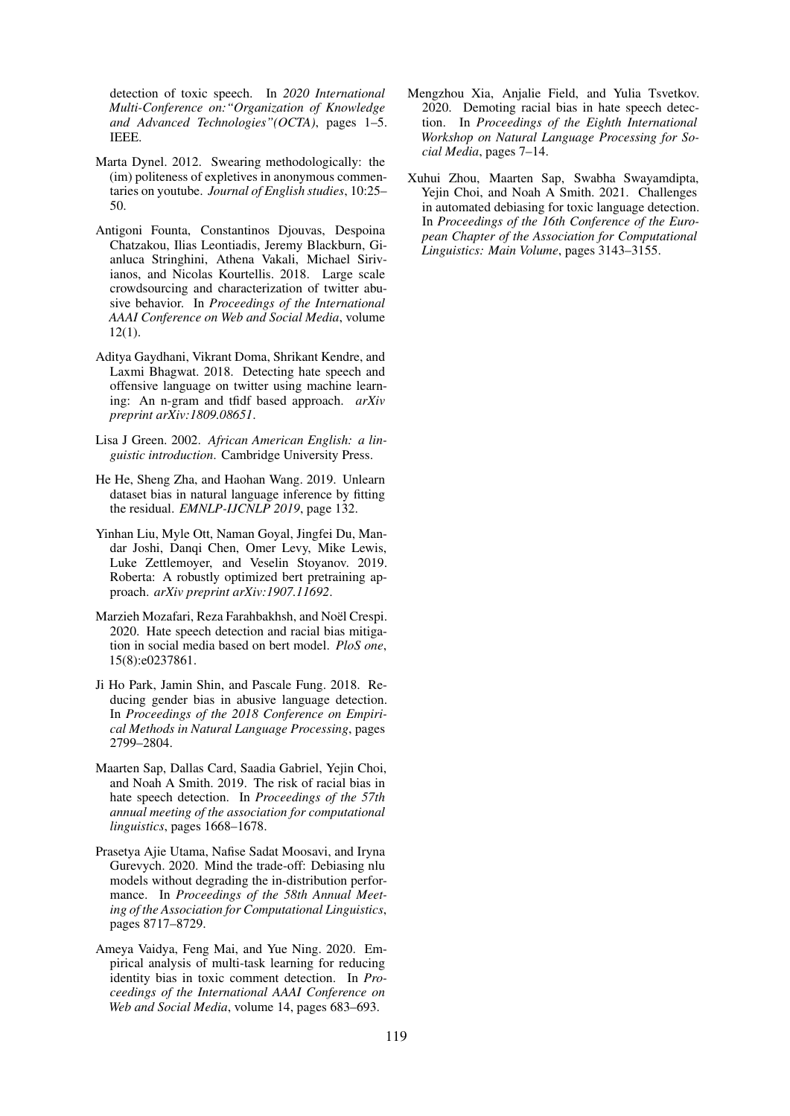detection of toxic speech. In *2020 International Multi-Conference on:"Organization of Knowledge and Advanced Technologies"(OCTA)*, pages 1–5. IEEE.

- <span id="page-5-10"></span>Marta Dynel. 2012. Swearing methodologically: the (im) politeness of expletives in anonymous commentaries on youtube. *Journal of English studies*, 10:25– 50.
- <span id="page-5-8"></span>Antigoni Founta, Constantinos Djouvas, Despoina Chatzakou, Ilias Leontiadis, Jeremy Blackburn, Gianluca Stringhini, Athena Vakali, Michael Sirivianos, and Nicolas Kourtellis. 2018. Large scale crowdsourcing and characterization of twitter abusive behavior. In *Proceedings of the International AAAI Conference on Web and Social Media*, volume 12(1).
- <span id="page-5-0"></span>Aditya Gaydhani, Vikrant Doma, Shrikant Kendre, and Laxmi Bhagwat. 2018. Detecting hate speech and offensive language on twitter using machine learning: An n-gram and tfidf based approach. *arXiv preprint arXiv:1809.08651*.
- <span id="page-5-11"></span>Lisa J Green. 2002. *African American English: a linguistic introduction*. Cambridge University Press.
- <span id="page-5-3"></span>He He, Sheng Zha, and Haohan Wang. 2019. Unlearn dataset bias in natural language inference by fitting the residual. *EMNLP-IJCNLP 2019*, page 132.
- <span id="page-5-9"></span>Yinhan Liu, Myle Ott, Naman Goyal, Jingfei Du, Mandar Joshi, Danqi Chen, Omer Levy, Mike Lewis, Luke Zettlemoyer, and Veselin Stoyanov. 2019. Roberta: A robustly optimized bert pretraining approach. *arXiv preprint arXiv:1907.11692*.
- <span id="page-5-5"></span>Marzieh Mozafari, Reza Farahbakhsh, and Noël Crespi. 2020. Hate speech detection and racial bias mitigation in social media based on bert model. *PloS one*, 15(8):e0237861.
- <span id="page-5-4"></span>Ji Ho Park, Jamin Shin, and Pascale Fung. 2018. Reducing gender bias in abusive language detection. In *Proceedings of the 2018 Conference on Empirical Methods in Natural Language Processing*, pages 2799–2804.
- <span id="page-5-12"></span>Maarten Sap, Dallas Card, Saadia Gabriel, Yejin Choi, and Noah A Smith. 2019. The risk of racial bias in hate speech detection. In *Proceedings of the 57th annual meeting of the association for computational linguistics*, pages 1668–1678.
- <span id="page-5-7"></span>Prasetya Ajie Utama, Nafise Sadat Moosavi, and Iryna Gurevych. 2020. Mind the trade-off: Debiasing nlu models without degrading the in-distribution performance. In *Proceedings of the 58th Annual Meeting of the Association for Computational Linguistics*, pages 8717–8729.
- <span id="page-5-6"></span>Ameya Vaidya, Feng Mai, and Yue Ning. 2020. Empirical analysis of multi-task learning for reducing identity bias in toxic comment detection. In *Proceedings of the International AAAI Conference on Web and Social Media*, volume 14, pages 683–693.
- <span id="page-5-2"></span>Mengzhou Xia, Anjalie Field, and Yulia Tsvetkov. 2020. Demoting racial bias in hate speech detection. In *Proceedings of the Eighth International Workshop on Natural Language Processing for Social Media*, pages 7–14.
- <span id="page-5-1"></span>Xuhui Zhou, Maarten Sap, Swabha Swayamdipta, Yejin Choi, and Noah A Smith. 2021. Challenges in automated debiasing for toxic language detection. In *Proceedings of the 16th Conference of the European Chapter of the Association for Computational Linguistics: Main Volume*, pages 3143–3155.